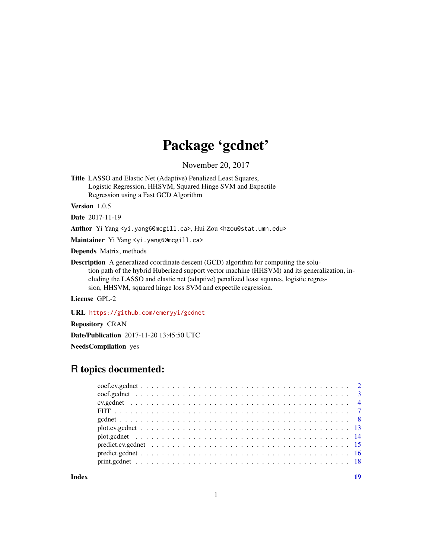# Package 'gcdnet'

November 20, 2017

<span id="page-0-0"></span>Title LASSO and Elastic Net (Adaptive) Penalized Least Squares, Logistic Regression, HHSVM, Squared Hinge SVM and Expectile Regression using a Fast GCD Algorithm

Version 1.0.5

Date 2017-11-19

Author Yi Yang <yi.yang6@mcgill.ca>, Hui Zou <hzou@stat.umn.edu>

Maintainer Yi Yang <yi.yang6@mcgill.ca>

Depends Matrix, methods

Description A generalized coordinate descent (GCD) algorithm for computing the solution path of the hybrid Huberized support vector machine (HHSVM) and its generalization, including the LASSO and elastic net (adaptive) penalized least squares, logistic regression, HHSVM, squared hinge loss SVM and expectile regression.

License GPL-2

URL <https://github.com/emeryyi/gcdnet>

Repository CRAN

Date/Publication 2017-11-20 13:45:50 UTC

NeedsCompilation yes

# R topics documented:

**Index** 2008 **[19](#page-18-0)99**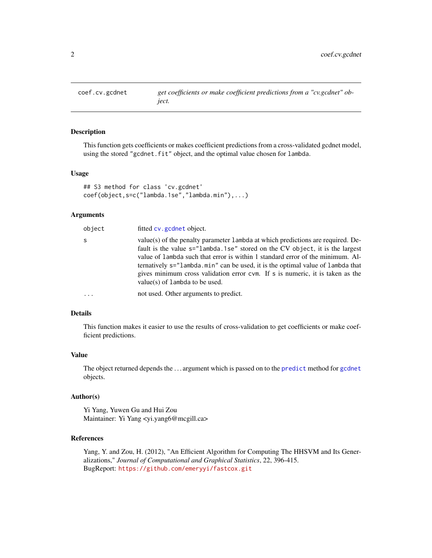<span id="page-1-1"></span><span id="page-1-0"></span>

This function gets coefficients or makes coefficient predictions from a cross-validated gcdnet model, using the stored "gcdnet.fit" object, and the optimal value chosen for lambda.

#### Usage

```
## S3 method for class 'cv.gcdnet'
coef(object,s=c("lambda.1se","lambda.min"),...)
```
#### Arguments

| object     | fitted cv.gcdnet object.                                                                                                                                                                                                                                                                                                                                                                                                                                   |
|------------|------------------------------------------------------------------------------------------------------------------------------------------------------------------------------------------------------------------------------------------------------------------------------------------------------------------------------------------------------------------------------------------------------------------------------------------------------------|
| S          | value(s) of the penalty parameter 1 ambda at which predictions are required. De-<br>fault is the value s="lambda.1se" stored on the CV object, it is the largest<br>value of lambda such that error is within 1 standard error of the minimum. Al-<br>ternatively s="lambda.min" can be used, it is the optimal value of lambda that<br>gives minimum cross validation error cym. If s is numeric, it is taken as the<br>value(s) of $l$ ambda to be used. |
| $\ddots$ . | not used. Other arguments to predict.                                                                                                                                                                                                                                                                                                                                                                                                                      |

# Details

This function makes it easier to use the results of cross-validation to get coefficients or make coefficient predictions.

#### Value

The object returned depends the . . . argument which is passed on to the [predict](#page-0-0) method for [gcdnet](#page-7-1) objects.

#### Author(s)

Yi Yang, Yuwen Gu and Hui Zou Maintainer: Yi Yang <yi.yang6@mcgill.ca>

#### References

Yang, Y. and Zou, H. (2012), "An Efficient Algorithm for Computing The HHSVM and Its Generalizations," *Journal of Computational and Graphical Statistics*, 22, 396-415. BugReport: <https://github.com/emeryyi/fastcox.git>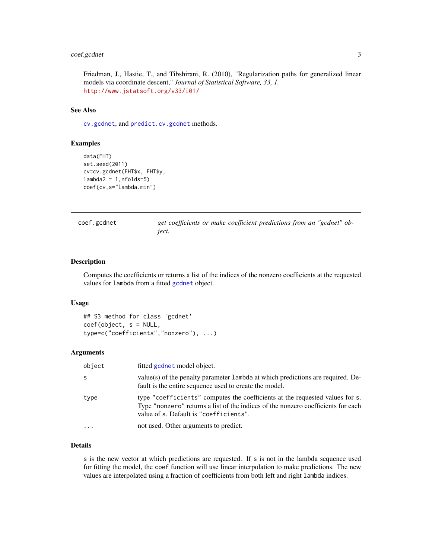# <span id="page-2-0"></span>coef.gcdnet 3

Friedman, J., Hastie, T., and Tibshirani, R. (2010), "Regularization paths for generalized linear models via coordinate descent," *Journal of Statistical Software, 33, 1.* <http://www.jstatsoft.org/v33/i01/>

# See Also

[cv.gcdnet](#page-3-1), and [predict.cv.gcdnet](#page-14-1) methods.

#### Examples

```
data(FHT)
set.seed(2011)
cv=cv.gcdnet(FHT$x, FHT$y,
lambda2 = 1, nfolds=5)coef(cv,s="lambda.min")
```
coef.gcdnet *get coefficients or make coefficient predictions from an "gcdnet" object.*

#### Description

Computes the coefficients or returns a list of the indices of the nonzero coefficients at the requested values for lambda from a fitted [gcdnet](#page-7-1) object.

#### Usage

## S3 method for class 'gcdnet' coef(object, s = NULL, type=c("coefficients","nonzero"), ...)

# Arguments

| object   | fitted gcdnet model object.                                                                                                                                                                                 |
|----------|-------------------------------------------------------------------------------------------------------------------------------------------------------------------------------------------------------------|
| S        | value(s) of the penalty parameter 1 ambda at which predictions are required. De-<br>fault is the entire sequence used to create the model.                                                                  |
| type     | type "coefficients" computes the coefficients at the requested values for s.<br>Type "nonzero" returns a list of the indices of the nonzero coefficients for each<br>value of s. Default is "coefficients". |
| $\cdots$ | not used. Other arguments to predict.                                                                                                                                                                       |

# Details

s is the new vector at which predictions are requested. If s is not in the lambda sequence used for fitting the model, the coef function will use linear interpolation to make predictions. The new values are interpolated using a fraction of coefficients from both left and right lambda indices.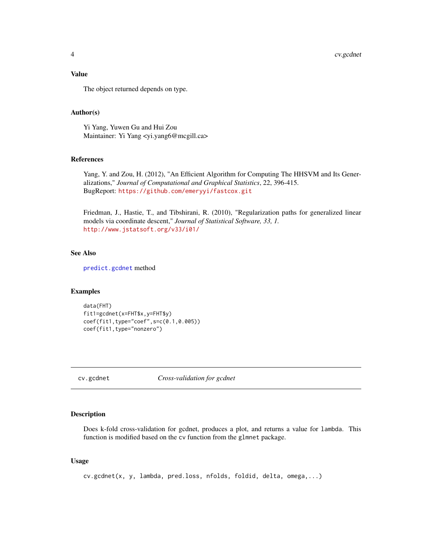# <span id="page-3-0"></span>Value

The object returned depends on type.

# Author(s)

Yi Yang, Yuwen Gu and Hui Zou Maintainer: Yi Yang <yi.yang6@mcgill.ca>

#### References

Yang, Y. and Zou, H. (2012), "An Efficient Algorithm for Computing The HHSVM and Its Generalizations," *Journal of Computational and Graphical Statistics*, 22, 396-415. BugReport: <https://github.com/emeryyi/fastcox.git>

Friedman, J., Hastie, T., and Tibshirani, R. (2010), "Regularization paths for generalized linear models via coordinate descent," *Journal of Statistical Software, 33, 1.* <http://www.jstatsoft.org/v33/i01/>

#### See Also

[predict.gcdnet](#page-15-1) method

#### Examples

```
data(FHT)
fit1=gcdnet(x=FHT$x,y=FHT$y)
coef(fit1,type="coef",s=c(0.1,0.005))
coef(fit1,type="nonzero")
```
<span id="page-3-1"></span>cv.gcdnet *Cross-validation for gcdnet*

# Description

Does k-fold cross-validation for gcdnet, produces a plot, and returns a value for lambda. This function is modified based on the cv function from the glmnet package.

#### Usage

cv.gcdnet(x, y, lambda, pred.loss, nfolds, foldid, delta, omega,...)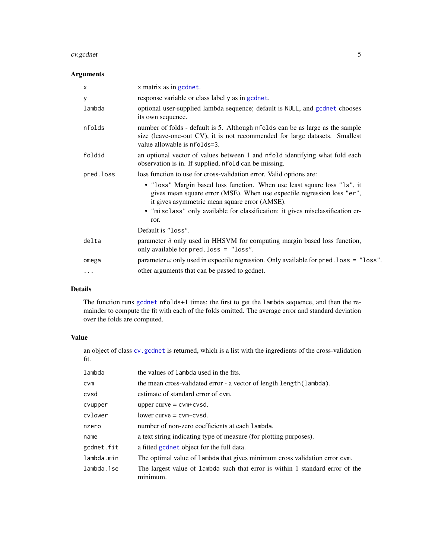#### <span id="page-4-0"></span>cv.gcdnet 5

# Arguments

| $\times$  | x matrix as in gcdnet.                                                                                                                                                                               |
|-----------|------------------------------------------------------------------------------------------------------------------------------------------------------------------------------------------------------|
| У         | response variable or class label y as in gcdnet.                                                                                                                                                     |
| lambda    | optional user-supplied lambda sequence; default is NULL, and gcdnet chooses<br>its own sequence.                                                                                                     |
| nfolds    | number of folds - default is 5. Although nfolds can be as large as the sample<br>size (leave-one-out CV), it is not recommended for large datasets. Smallest<br>value allowable is nfolds=3.         |
| foldid    | an optional vector of values between 1 and nfold identifying what fold each<br>observation is in. If supplied, nfold can be missing.                                                                 |
| pred.loss | loss function to use for cross-validation error. Valid options are:                                                                                                                                  |
|           | • "loss" Margin based loss function. When use least square loss "1s", it<br>gives mean square error (MSE). When use expectile regression loss "er",<br>it gives asymmetric mean square error (AMSE). |
|           | • "misclass" only available for classification: it gives misclassification er-<br>ror.                                                                                                               |
|           | Default is "loss".                                                                                                                                                                                   |
| delta     | parameter $\delta$ only used in HHSVM for computing margin based loss function,<br>only available for pred. loss = "loss".                                                                           |
| omega     | parameter $\omega$ only used in expectile regression. Only available for pred. loss = "loss".                                                                                                        |
| $\cdots$  | other arguments that can be passed to gcdnet.                                                                                                                                                        |

# Details

The function runs [gcdnet](#page-7-1) nfolds+1 times; the first to get the lambda sequence, and then the remainder to compute the fit with each of the folds omitted. The average error and standard deviation over the folds are computed.

# Value

an object of class cv. gcdnet is returned, which is a list with the ingredients of the cross-validation fit.

| lambda     | the values of lambda used in the fits.                                                    |
|------------|-------------------------------------------------------------------------------------------|
| <b>CVM</b> | the mean cross-validated error - a vector of length length (lambda).                      |
| cvsd       | estimate of standard error of cym.                                                        |
| cvupper    | upper curve $=$ cvm+cvsd.                                                                 |
| cvlower    | $lower curve = cvm-cvsd.$                                                                 |
| nzero      | number of non-zero coefficients at each lambda.                                           |
| name       | a text string indicating type of measure (for plotting purposes).                         |
| gcdnet.fit | a fitted godnet object for the full data.                                                 |
| lambda.min | The optimal value of lambda that gives minimum cross validation error cvm.                |
| lambda.1se | The largest value of lambda such that error is within 1 standard error of the<br>minimum. |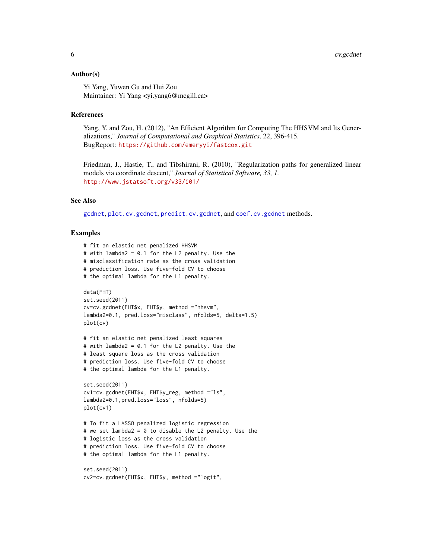#### <span id="page-5-0"></span>Author(s)

Yi Yang, Yuwen Gu and Hui Zou Maintainer: Yi Yang <yi.yang6@mcgill.ca>

#### References

Yang, Y. and Zou, H. (2012), "An Efficient Algorithm for Computing The HHSVM and Its Generalizations," *Journal of Computational and Graphical Statistics*, 22, 396-415. BugReport: <https://github.com/emeryyi/fastcox.git>

Friedman, J., Hastie, T., and Tibshirani, R. (2010), "Regularization paths for generalized linear models via coordinate descent," *Journal of Statistical Software, 33, 1.* <http://www.jstatsoft.org/v33/i01/>

# See Also

[gcdnet](#page-7-1), [plot.cv.gcdnet](#page-12-1), [predict.cv.gcdnet](#page-14-1), and [coef.cv.gcdnet](#page-1-1) methods.

```
# fit an elastic net penalized HHSVM
# with lambda2 = 0.1 for the L2 penalty. Use the
# misclassification rate as the cross validation
# prediction loss. Use five-fold CV to choose
# the optimal lambda for the L1 penalty.
data(FHT)
set.seed(2011)
cv=cv.gcdnet(FHT$x, FHT$y, method ="hhsvm",
lambda2=0.1, pred.loss="misclass", nfolds=5, delta=1.5)
plot(cv)
# fit an elastic net penalized least squares
# with lambda2 = 0.1 for the L2 penalty. Use the
# least square loss as the cross validation
# prediction loss. Use five-fold CV to choose
# the optimal lambda for the L1 penalty.
set.seed(2011)
cv1=cv.gcdnet(FHT$x, FHT$y_reg, method ="ls",
lambda2=0.1,pred.loss="loss", nfolds=5)
plot(cv1)
# To fit a LASSO penalized logistic regression
# we set lambda2 = 0 to disable the L2 penalty. Use the
# logistic loss as the cross validation
# prediction loss. Use five-fold CV to choose
# the optimal lambda for the L1 penalty.
set.seed(2011)
cv2=cv.gcdnet(FHT$x, FHT$y, method ="logit",
```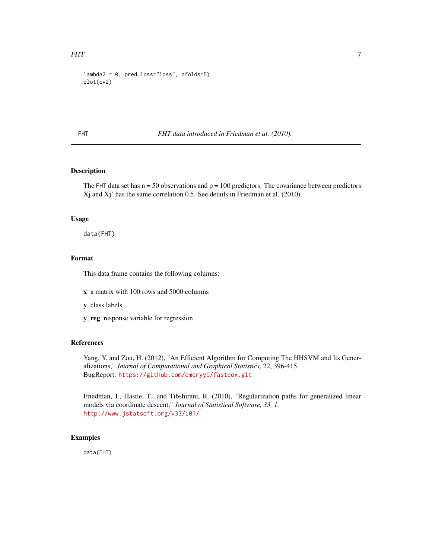```
lambda2 = 0, pred.loss="loss", nfolds=5)plot(cv2)
```
FHT *FHT data introduced in Friedman et al. (2010).*

# Description

The FHT data set has  $n = 50$  observations and  $p = 100$  predictors. The covariance between predictors Xj and Xj' has the same correlation 0.5. See details in Friedman et al. (2010).

#### Usage

data(FHT)

# Format

This data frame contains the following columns:

- x a matrix with 100 rows and 5000 columns
- y class labels
- y\_reg response variable for regression

# References

Yang, Y. and Zou, H. (2012), "An Efficient Algorithm for Computing The HHSVM and Its Generalizations," *Journal of Computational and Graphical Statistics*, 22, 396-415. BugReport: <https://github.com/emeryyi/fastcox.git>

Friedman, J., Hastie, T., and Tibshirani, R. (2010), "Regularization paths for generalized linear models via coordinate descent," *Journal of Statistical Software, 33, 1.* <http://www.jstatsoft.org/v33/i01/>

# Examples

data(FHT)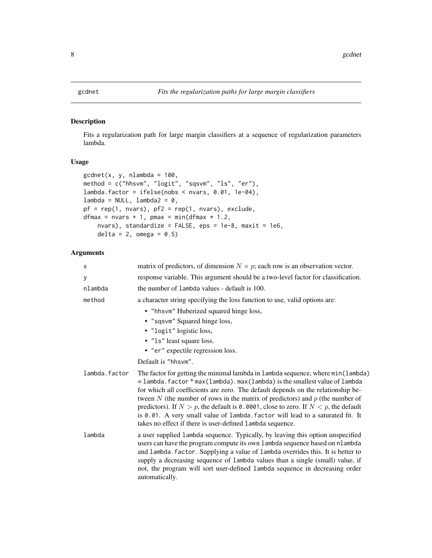<span id="page-7-1"></span><span id="page-7-0"></span>Fits a regularization path for large margin classifiers at a sequence of regularization parameters lambda.

# Usage

```
gcdnet(x, y, nlambda = 100,method = c("hhsvm", "logit", "sqsvm", "ls", "er"),
lambda.factor = ifelse(nobs < nvars, 0.01, 1e-04),
lambda = NULL, lambda2 = 0,pf = rep(1, nvars), pf2 = rep(1, nvars), exclude,dfmax = nvars + 1, pmax = min(dfmax * 1.2,
    nvars), standardize = FALSE, eps = 1e-8, maxit = 1e6,
    delta = 2, omega = 0.5)
```
# Arguments

| x             | matrix of predictors, of dimension $N \times p$ ; each row is an observation vector.                                                                                                                                                                                                                                                                                                                                                                                                                                                                                                   |
|---------------|----------------------------------------------------------------------------------------------------------------------------------------------------------------------------------------------------------------------------------------------------------------------------------------------------------------------------------------------------------------------------------------------------------------------------------------------------------------------------------------------------------------------------------------------------------------------------------------|
| У             | response variable. This argument should be a two-level factor for classification.                                                                                                                                                                                                                                                                                                                                                                                                                                                                                                      |
| nlambda       | the number of lambda values - default is 100.                                                                                                                                                                                                                                                                                                                                                                                                                                                                                                                                          |
| method        | a character string specifying the loss function to use, valid options are:                                                                                                                                                                                                                                                                                                                                                                                                                                                                                                             |
|               | • "hhsvm" Huberized squared hinge loss,                                                                                                                                                                                                                                                                                                                                                                                                                                                                                                                                                |
|               | • "sqsvm" Squared hinge loss,                                                                                                                                                                                                                                                                                                                                                                                                                                                                                                                                                          |
|               | • "logit" logistic loss,                                                                                                                                                                                                                                                                                                                                                                                                                                                                                                                                                               |
|               | • "1s" least square loss.                                                                                                                                                                                                                                                                                                                                                                                                                                                                                                                                                              |
|               | • "er" expectile regression loss.                                                                                                                                                                                                                                                                                                                                                                                                                                                                                                                                                      |
|               | Default is "hhsym".                                                                                                                                                                                                                                                                                                                                                                                                                                                                                                                                                                    |
| lambda.factor | The factor for getting the minimal lambda in lambda sequence, where min(lambda)<br>$=$ lambda. factor $*$ max (lambda). max (lambda) is the smallest value of lambda<br>for which all coefficients are zero. The default depends on the relationship be-<br>tween N (the number of rows in the matrix of predictors) and $p$ (the number of<br>predictors). If $N > p$ , the default is 0.0001, close to zero. If $N < p$ , the default<br>is 0.01. A very small value of lambda. factor will lead to a saturated fit. It<br>takes no effect if there is user-defined lambda sequence. |
| lambda        | a user supplied lambda sequence. Typically, by leaving this option unspecified<br>users can have the program compute its own lambda sequence based on nlambda<br>and lambda. factor. Supplying a value of lambda overrides this. It is better to<br>supply a decreasing sequence of lambda values than a single (small) value, if<br>not, the program will sort user-defined lambda sequence in decreasing order<br>automatically.                                                                                                                                                     |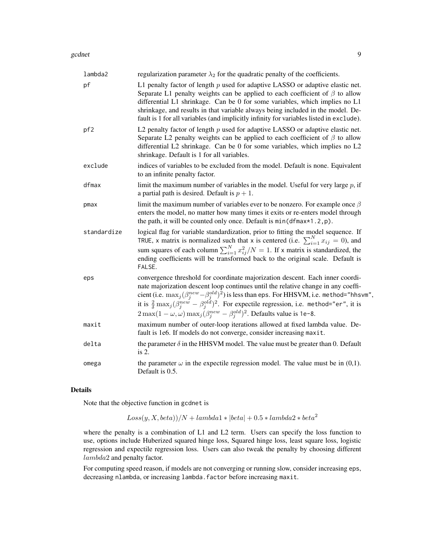#### gcdnet 99

| lambda2     | regularization parameter $\lambda_2$ for the quadratic penalty of the coefficients.                                                                                                                                                                                                                                                                                                                                                                                                                         |
|-------------|-------------------------------------------------------------------------------------------------------------------------------------------------------------------------------------------------------------------------------------------------------------------------------------------------------------------------------------------------------------------------------------------------------------------------------------------------------------------------------------------------------------|
| pf          | L1 penalty factor of length $p$ used for adaptive LASSO or adaptive elastic net.<br>Separate L1 penalty weights can be applied to each coefficient of $\beta$ to allow<br>differential L1 shrinkage. Can be 0 for some variables, which implies no L1<br>shrinkage, and results in that variable always being included in the model. De-<br>fault is 1 for all variables (and implicitly infinity for variables listed in exclude).                                                                         |
| pf2         | L2 penalty factor of length $p$ used for adaptive LASSO or adaptive elastic net.<br>Separate L2 penalty weights can be applied to each coefficient of $\beta$ to allow<br>differential L2 shrinkage. Can be 0 for some variables, which implies no L2<br>shrinkage. Default is 1 for all variables.                                                                                                                                                                                                         |
| exclude     | indices of variables to be excluded from the model. Default is none. Equivalent<br>to an infinite penalty factor.                                                                                                                                                                                                                                                                                                                                                                                           |
| dfmax       | limit the maximum number of variables in the model. Useful for very large $p$ , if<br>a partial path is desired. Default is $p + 1$ .                                                                                                                                                                                                                                                                                                                                                                       |
| pmax        | limit the maximum number of variables ever to be nonzero. For example once $\beta$<br>enters the model, no matter how many times it exits or re-enters model through<br>the path, it will be counted only once. Default is $min(dfmax*1.2, p)$ .                                                                                                                                                                                                                                                            |
| standardize | logical flag for variable standardization, prior to fitting the model sequence. If<br>TRUE, x matrix is normalized such that x is centered (i.e. $\sum_{i=1}^{N} x_{ij} = 0$ ), and<br>sum squares of each column $\sum_{i=1}^{N} x_{ij}^2/N = 1$ . If x matrix is standardized, the<br>ending coefficients will be transformed back to the original scale. Default is<br>FALSE.                                                                                                                            |
| eps         | convergence threshold for coordinate majorization descent. Each inner coordi-<br>nate majorization descent loop continues until the relative change in any coeffi-<br>cient (i.e. $\max_j(\beta_j^{new} - \beta_j^{old})^2$ ) is less than eps. For HHSVM, i.e. method="hhsvm",<br>it is $\frac{2}{\delta} \max_j (\beta_j^{new} - \beta_j^{old})^2$ . For expectile regression, i.e. method="er", it is<br>$2 \max(1 - \omega, \omega) \max_j (\beta_j^{new} - \beta_j^{old})^2$ . Defaults value is 1e-8. |
| maxit       | maximum number of outer-loop iterations allowed at fixed lambda value. De-<br>fault is 1e6. If models do not converge, consider increasing maxit.                                                                                                                                                                                                                                                                                                                                                           |
| delta       | the parameter $\delta$ in the HHSVM model. The value must be greater than 0. Default<br>is 2.                                                                                                                                                                                                                                                                                                                                                                                                               |
| omega       | the parameter $\omega$ in the expectile regression model. The value must be in (0,1).<br>Default is 0.5.                                                                                                                                                                                                                                                                                                                                                                                                    |

# Details

Note that the objective function in gcdnet is

 $Loss(y, X, beta))/N + lambda1 * |beta| + 0.5 * lambda2 * beta<sup>2</sup>$ 

where the penalty is a combination of L1 and L2 term. Users can specify the loss function to use, options include Huberized squared hinge loss, Squared hinge loss, least square loss, logistic regression and expectile regression loss. Users can also tweak the penalty by choosing different lambda2 and penalty factor.

For computing speed reason, if models are not converging or running slow, consider increasing eps, decreasing nlambda, or increasing lambda.factor before increasing maxit.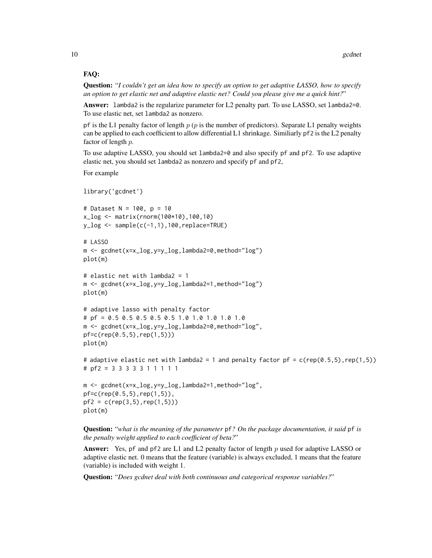# FAQ:

Question: "*I couldn't get an idea how to specify an option to get adaptive LASSO, how to specify an option to get elastic net and adaptive elastic net? Could you please give me a quick hint?*"

Answer: lambda2 is the regularize parameter for L2 penalty part. To use LASSO, set lambda2=0. To use elastic net, set lambda2 as nonzero.

pf is the L1 penalty factor of length  $p$  ( $p$  is the number of predictors). Separate L1 penalty weights can be applied to each coefficient to allow differential L1 shrinkage. Similiarly pf2 is the L2 penalty factor of length p.

To use adaptive LASSO, you should set lambda2=0 and also specify pf and pf2. To use adaptive elastic net, you should set lambda2 as nonzero and specify pf and pf2,

For example

```
library('gcdnet')
# Dataset N = 100, p = 10
x_log <- matrix(rnorm(100*10),100,10)
y_{\text{log}} < - sample(c(-1,1),100, replace=TRUE)
# LASSO
m <- gcdnet(x=x_log,y=y_log,lambda2=0,method="log")
plot(m)
# elastic net with lambda2 = 1
m <- gcdnet(x=x_log,y=y_log,lambda2=1,method="log")
plot(m)
# adaptive lasso with penalty factor
# pf = 0.5 0.5 0.5 0.5 0.5 1.0 1.0 1.0 1.0 1.0
m <- gcdnet(x=x_log,y=y_log,lambda2=0,method="log",
pf=c(rep(0.5,5),rep(1,5)))
plot(m)
# adaptive elastic net with lambda2 = 1 and penalty factor pf = c(rep(0.5,5),rep(1,5))
# pf2 = 3 3 3 3 3 1 1 1 1 1
m <- gcdnet(x=x_log,y=y_log,lambda2=1,method="log",
pf=c(rep(0.5,5),rep(1,5)),
pf2 = c(rep(3,5),rep(1,5)))plot(m)
```
Question: "*what is the meaning of the parameter* pf*? On the package documentation, it said* pf *is the penalty weight applied to each coefficient of beta?*"

Answer: Yes, pf and pf2 are L1 and L2 penalty factor of length  $p$  used for adaptive LASSO or adaptive elastic net. 0 means that the feature (variable) is always excluded, 1 means that the feature (variable) is included with weight 1.

Question: "*Does gcdnet deal with both continuous and categorical response variables?*"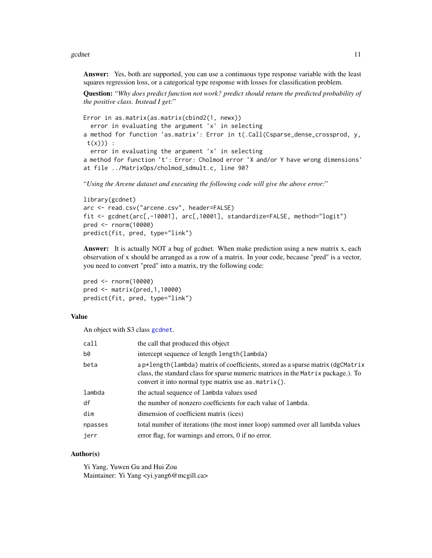<span id="page-10-0"></span>gcdnet 11

Answer: Yes, both are supported, you can use a continuous type response variable with the least squares regression loss, or a categorical type response with losses for classification problem.

Question: "*Why does predict function not work? predict should return the predicted probability of the positive class. Instead I get:*"

```
Error in as.matrix(as.matrix(cbind2(1, newx))
  error in evaluating the argument 'x' in selecting
a method for function 'as.matrix': Error in t(.Call(Csparse_dense_crossprod, y,
 t(x)) :
  error in evaluating the argument 'x' in selecting
a method for function 't': Error: Cholmod error 'X and/or Y have wrong dimensions'
at file ../MatrixOps/cholmod_sdmult.c, line 90?
```
"*Using the Arcene dataset and executing the following code will give the above error:*"

```
library(gcdnet)
arc <- read.csv("arcene.csv", header=FALSE)
fit <- gcdnet(arc[,-10001], arc[,10001], standardize=FALSE, method="logit")
pred <- rnorm(10000)
predict(fit, pred, type="link")
```
Answer: It is actually NOT a bug of gcdnet. When make prediction using a new matrix x, each observation of x should be arranged as a row of a matrix. In your code, because "pred" is a vector, you need to convert "pred" into a matrix, try the following code:

pred <- rnorm(10000) pred <- matrix(pred,1,10000) predict(fit, pred, type="link")

# Value

An object with S3 class [gcdnet](#page-7-1).

| call    | the call that produced this object                                                                                                                                                                                             |
|---------|--------------------------------------------------------------------------------------------------------------------------------------------------------------------------------------------------------------------------------|
| b0      | intercept sequence of length length (lambda)                                                                                                                                                                                   |
| beta    | a p*length(lambda) matrix of coefficients, stored as a sparse matrix (dgCMatrix<br>class, the standard class for sparse numeric matrices in the Matrix package.). To<br>convert it into normal type matrix use $as.matrix()$ . |
| lambda  | the actual sequence of lambda values used                                                                                                                                                                                      |
| df      | the number of nonzero coefficients for each value of lambda.                                                                                                                                                                   |
| dim     | dimension of coefficient matrix (ices)                                                                                                                                                                                         |
| npasses | total number of iterations (the most inner loop) summed over all lambda values                                                                                                                                                 |
| jerr    | error flag, for warnings and errors, 0 if no error.                                                                                                                                                                            |

# Author(s)

Yi Yang, Yuwen Gu and Hui Zou Maintainer: Yi Yang <yi.yang6@mcgill.ca>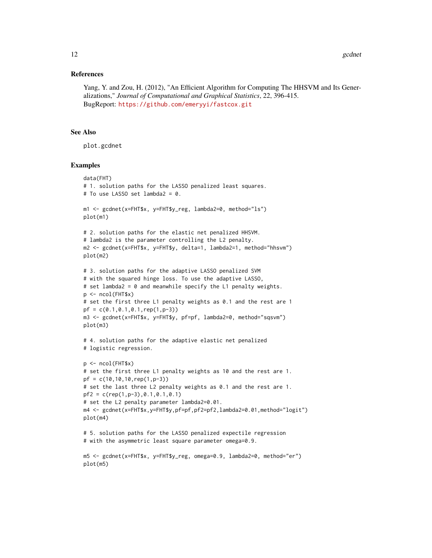# References

Yang, Y. and Zou, H. (2012), "An Efficient Algorithm for Computing The HHSVM and Its Generalizations," *Journal of Computational and Graphical Statistics*, 22, 396-415. BugReport: <https://github.com/emeryyi/fastcox.git>

# See Also

plot.gcdnet

```
data(FHT)
# 1. solution paths for the LASSO penalized least squares.
# To use LASSO set lambda2 = 0.
m1 <- gcdnet(x=FHT$x, y=FHT$y_reg, lambda2=0, method="ls")
plot(m1)
# 2. solution paths for the elastic net penalized HHSVM.
# lambda2 is the parameter controlling the L2 penalty.
m2 <- gcdnet(x=FHT$x, y=FHT$y, delta=1, lambda2=1, method="hhsvm")
plot(m2)
# 3. solution paths for the adaptive LASSO penalized SVM
# with the squared hinge loss. To use the adaptive LASSO,
# set lambda2 = 0 and meanwhile specify the L1 penalty weights.
p \leftarrow \text{ncol}(FHT$x)
# set the first three L1 penalty weights as 0.1 and the rest are 1
pf = c(0.1, 0.1, 0.1, rep(1, p-3))m3 <- gcdnet(x=FHT$x, y=FHT$y, pf=pf, lambda2=0, method="sqsvm")
plot(m3)
# 4. solution paths for the adaptive elastic net penalized
# logistic regression.
p <- ncol(FHT$x)
# set the first three L1 penalty weights as 10 and the rest are 1.
pf = c(10,10,10,rep(1,p-3))
# set the last three L2 penalty weights as 0.1 and the rest are 1.
pf2 = c(rep(1,p-3), 0.1, 0.1, 0.1)# set the L2 penalty parameter lambda2=0.01.
m4 <- gcdnet(x=FHT$x,y=FHT$y,pf=pf,pf2=pf2,lambda2=0.01,method="logit")
plot(m4)
# 5. solution paths for the LASSO penalized expectile regression
# with the asymmetric least square parameter omega=0.9.
m5 <- gcdnet(x=FHT$x, y=FHT$y_reg, omega=0.9, lambda2=0, method="er")
plot(m5)
```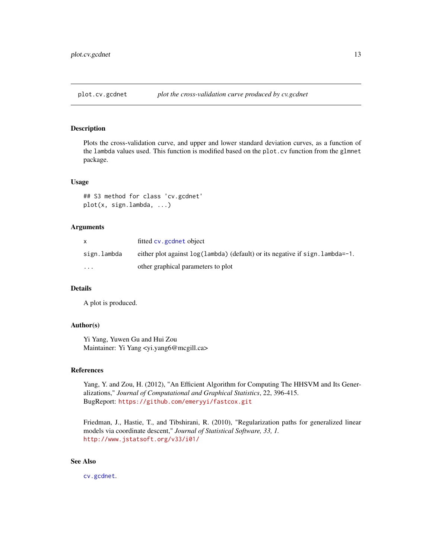<span id="page-12-1"></span><span id="page-12-0"></span>

Plots the cross-validation curve, and upper and lower standard deviation curves, as a function of the lambda values used. This function is modified based on the plot.cv function from the glmnet package.

#### Usage

## S3 method for class 'cv.gcdnet' plot(x, sign.lambda, ...)

# Arguments

|             | fitted cv. gcdnet object                                                            |
|-------------|-------------------------------------------------------------------------------------|
| sign.lambda | either plot against $log(1$ ambda) (default) or its negative if sign. $l$ ambda=-1. |
| $\cdot$     | other graphical parameters to plot                                                  |

# Details

A plot is produced.

# Author(s)

Yi Yang, Yuwen Gu and Hui Zou Maintainer: Yi Yang <yi.yang6@mcgill.ca>

#### References

Yang, Y. and Zou, H. (2012), "An Efficient Algorithm for Computing The HHSVM and Its Generalizations," *Journal of Computational and Graphical Statistics*, 22, 396-415. BugReport: <https://github.com/emeryyi/fastcox.git>

Friedman, J., Hastie, T., and Tibshirani, R. (2010), "Regularization paths for generalized linear models via coordinate descent," *Journal of Statistical Software, 33, 1.* <http://www.jstatsoft.org/v33/i01/>

# See Also

[cv.gcdnet](#page-3-1).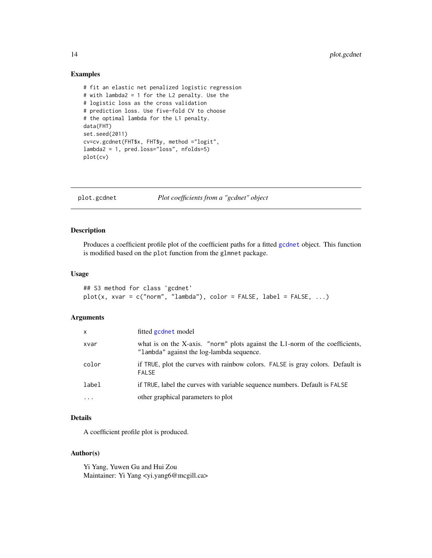#### Examples

```
# fit an elastic net penalized logistic regression
# with lambda2 = 1 for the L2 penalty. Use the
# logistic loss as the cross validation
# prediction loss. Use five-fold CV to choose
# the optimal lambda for the L1 penalty.
data(FHT)
set.seed(2011)
cv=cv.gcdnet(FHT$x, FHT$y, method ="logit",
lambda2 = 1, pred.loss="loss", nfolds=5)
plot(cv)
```
plot.gcdnet *Plot coefficients from a "gcdnet" object*

# Description

Produces a coefficient profile plot of the coefficient paths for a fitted [gcdnet](#page-7-1) object. This function is modified based on the plot function from the glmnet package.

# Usage

```
## S3 method for class 'gcdnet'
plot(x, xvar = c("norm", "lambda"), color = FALSE, label = FALSE, ...)
```
# Arguments

| X          | fitted gcdnet model                                                                                                       |
|------------|---------------------------------------------------------------------------------------------------------------------------|
| xvar       | what is on the X-axis. "norm" plots against the L1-norm of the coefficients,<br>"lambda" against the log-lambda sequence. |
| color      | if TRUE, plot the curves with rainbow colors. FALSE is gray colors. Default is<br><b>FALSE</b>                            |
| label      | if TRUE, label the curves with variable sequence numbers. Default is FALSE                                                |
| $\ddots$ . | other graphical parameters to plot                                                                                        |

# Details

A coefficient profile plot is produced.

# Author(s)

Yi Yang, Yuwen Gu and Hui Zou Maintainer: Yi Yang <yi.yang6@mcgill.ca>

<span id="page-13-0"></span>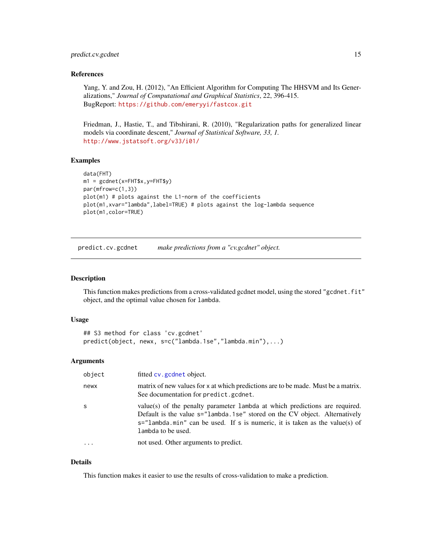# <span id="page-14-0"></span>predict.cv.gcdnet 15

# References

Yang, Y. and Zou, H. (2012), "An Efficient Algorithm for Computing The HHSVM and Its Generalizations," *Journal of Computational and Graphical Statistics*, 22, 396-415. BugReport: <https://github.com/emeryyi/fastcox.git>

Friedman, J., Hastie, T., and Tibshirani, R. (2010), "Regularization paths for generalized linear models via coordinate descent," *Journal of Statistical Software, 33, 1.* <http://www.jstatsoft.org/v33/i01/>

#### Examples

```
data(FHT)
m1 = gcdnet(x=FHT$x,y=FHT$y)
par(mfrow=c(1,3))
plot(m1) # plots against the L1-norm of the coefficients
plot(m1,xvar="lambda",label=TRUE) # plots against the log-lambda sequence
plot(m1,color=TRUE)
```
<span id="page-14-1"></span>predict.cv.gcdnet *make predictions from a "cv.gcdnet" object.*

## Description

This function makes predictions from a cross-validated gcdnet model, using the stored "gcdnet.fit" object, and the optimal value chosen for lambda.

#### Usage

```
## S3 method for class 'cv.gcdnet'
predict(object, newx, s=c("lambda.1se","lambda.min"),...)
```
# **Arguments**

| object    | fitted cv. gcdnet object.                                                                                                                                                                                                                                          |
|-----------|--------------------------------------------------------------------------------------------------------------------------------------------------------------------------------------------------------------------------------------------------------------------|
| newx      | matrix of new values for x at which predictions are to be made. Must be a matrix.<br>See documentation for predict.gcdnet.                                                                                                                                         |
| -S        | value(s) of the penalty parameter lambda at which predictions are required.<br>Default is the value s="lambda.1se" stored on the CV object. Alternatively<br>$s =$ "lambda.min" can be used. If s is numeric, it is taken as the value(s) of<br>lambda to be used. |
| $\ddotsc$ | not used. Other arguments to predict.                                                                                                                                                                                                                              |

# Details

This function makes it easier to use the results of cross-validation to make a prediction.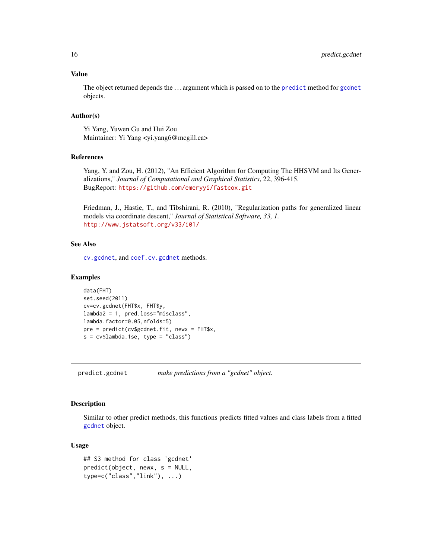# <span id="page-15-0"></span>Value

The object returned depends the . . . argument which is passed on to the [predict](#page-0-0) method for [gcdnet](#page-7-1) objects.

# Author(s)

Yi Yang, Yuwen Gu and Hui Zou Maintainer: Yi Yang <yi.yang6@mcgill.ca>

#### References

Yang, Y. and Zou, H. (2012), "An Efficient Algorithm for Computing The HHSVM and Its Generalizations," *Journal of Computational and Graphical Statistics*, 22, 396-415. BugReport: <https://github.com/emeryyi/fastcox.git>

Friedman, J., Hastie, T., and Tibshirani, R. (2010), "Regularization paths for generalized linear models via coordinate descent," *Journal of Statistical Software, 33, 1.* <http://www.jstatsoft.org/v33/i01/>

# See Also

[cv.gcdnet](#page-3-1), and [coef.cv.gcdnet](#page-1-1) methods.

#### Examples

```
data(FHT)
set.seed(2011)
cv=cv.gcdnet(FHT$x, FHT$y,
lambda2 = 1, pred.loss="misclass",
lambda.factor=0.05,nfolds=5)
pre = predict(cv$gcdnet.fit, newx = FHT$x,
s = cv$lambda.1se, type = "class")
```
<span id="page-15-1"></span>predict.gcdnet *make predictions from a "gcdnet" object.*

# Description

Similar to other predict methods, this functions predicts fitted values and class labels from a fitted [gcdnet](#page-7-1) object.

# Usage

```
## S3 method for class 'gcdnet'
predict(object, newx, s = NULL,
type=c("class","link"), ...)
```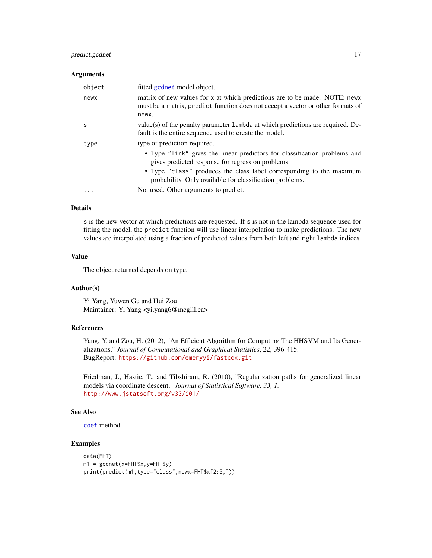# <span id="page-16-0"></span>predict.gcdnet 17

#### **Arguments**

| object    | fitted gcdnet model object.                                                                                                                                            |
|-----------|------------------------------------------------------------------------------------------------------------------------------------------------------------------------|
| newx      | matrix of new values for x at which predictions are to be made. NOTE: news<br>must be a matrix, predict function does not accept a vector or other formats of<br>newx. |
| S         | value(s) of the penalty parameter 1 ambda at which predictions are required. De-<br>fault is the entire sequence used to create the model.                             |
| type      | type of prediction required.                                                                                                                                           |
|           | • Type "link" gives the linear predictors for classification problems and<br>gives predicted response for regression problems.                                         |
|           | • Type "class" produces the class label corresponding to the maximum<br>probability. Only available for classification problems.                                       |
| $\ddotsc$ | Not used. Other arguments to predict.                                                                                                                                  |

#### Details

s is the new vector at which predictions are requested. If s is not in the lambda sequence used for fitting the model, the predict function will use linear interpolation to make predictions. The new values are interpolated using a fraction of predicted values from both left and right lambda indices.

#### Value

The object returned depends on type.

#### Author(s)

Yi Yang, Yuwen Gu and Hui Zou Maintainer: Yi Yang <yi.yang6@mcgill.ca>

# References

Yang, Y. and Zou, H. (2012), "An Efficient Algorithm for Computing The HHSVM and Its Generalizations," *Journal of Computational and Graphical Statistics*, 22, 396-415. BugReport: <https://github.com/emeryyi/fastcox.git>

Friedman, J., Hastie, T., and Tibshirani, R. (2010), "Regularization paths for generalized linear models via coordinate descent," *Journal of Statistical Software, 33, 1.* <http://www.jstatsoft.org/v33/i01/>

# See Also

[coef](#page-0-0) method

```
data(FHT)
m1 = gcdnet(x=FHT$x,y=FHT$y)
print(predict(m1,type="class",newx=FHT$x[2:5,]))
```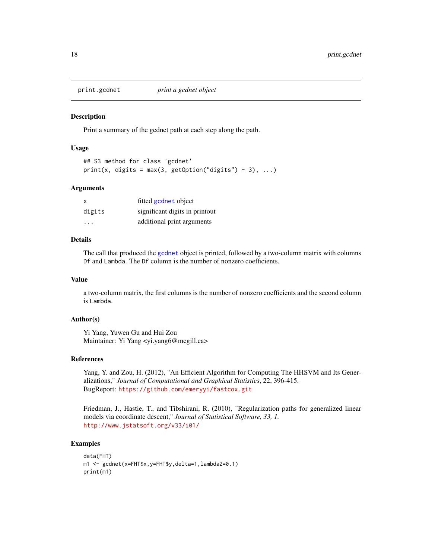<span id="page-17-0"></span>

Print a summary of the gcdnet path at each step along the path.

# Usage

```
## S3 method for class 'gcdnet'
print(x, digits = max(3, getOption("digits") - 3), ...)
```
#### Arguments

| $\mathsf{x}$ | fitted gcdnet object           |
|--------------|--------------------------------|
| digits       | significant digits in printout |
| $\cdot$      | additional print arguments     |

#### Details

The call that produced the [gcdnet](#page-7-1) object is printed, followed by a two-column matrix with columns Df and Lambda. The Df column is the number of nonzero coefficients.

# Value

a two-column matrix, the first columns is the number of nonzero coefficients and the second column is Lambda.

# Author(s)

Yi Yang, Yuwen Gu and Hui Zou Maintainer: Yi Yang <yi.yang6@mcgill.ca>

#### References

Yang, Y. and Zou, H. (2012), "An Efficient Algorithm for Computing The HHSVM and Its Generalizations," *Journal of Computational and Graphical Statistics*, 22, 396-415. BugReport: <https://github.com/emeryyi/fastcox.git>

Friedman, J., Hastie, T., and Tibshirani, R. (2010), "Regularization paths for generalized linear models via coordinate descent," *Journal of Statistical Software, 33, 1.* <http://www.jstatsoft.org/v33/i01/>

```
data(FHT)
m1 <- gcdnet(x=FHT$x,y=FHT$y,delta=1,lambda2=0.1)
print(m1)
```